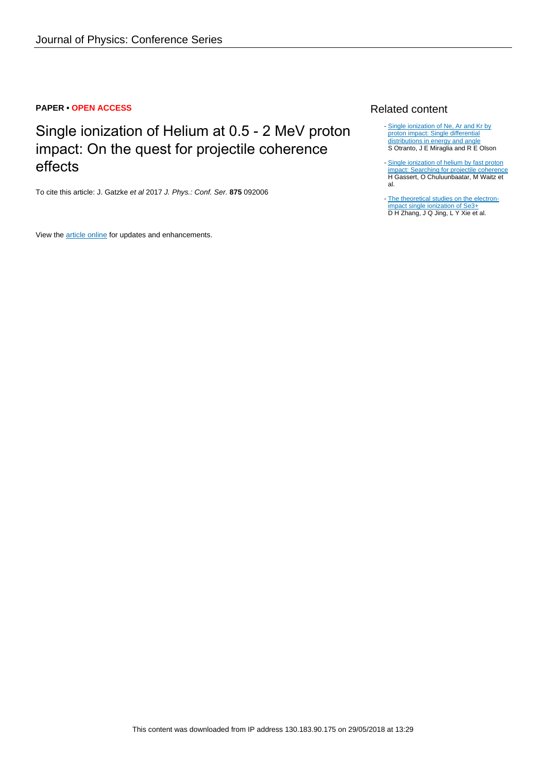## **PAPER • OPEN ACCESS**

Single ionization of Helium at 0.5 - 2 MeV proton impact: On the quest for projectile coherence effects

To cite this article: J. Gatzke et al 2017 J. Phys.: Conf. Ser. **875** 092006

View the [article online](https://doi.org/10.1088/1742-6596/875/10/092006) for updates and enhancements.

## Related content

- [Single ionization of Ne, Ar and Kr by](http://iopscience.iop.org/article/10.1088/1742-6596/194/8/082015) [proton impact: Single differential](http://iopscience.iop.org/article/10.1088/1742-6596/194/8/082015) [distributions in energy and angle](http://iopscience.iop.org/article/10.1088/1742-6596/194/8/082015) S Otranto, J E Miraglia and R E Olson
- [Single ionization of helium by fast proton](http://iopscience.iop.org/article/10.1088/1742-6596/635/2/022053) [impact: Searching for projectile coherence](http://iopscience.iop.org/article/10.1088/1742-6596/635/2/022053) H Gassert, O Chuluunbaatar, M Waitz et al. -
- [The theoretical studies on the electron](http://iopscience.iop.org/article/10.1088/1742-6596/635/5/052049)[impact single ionization of Se3+](http://iopscience.iop.org/article/10.1088/1742-6596/635/5/052049) D H Zhang, J Q Jing, L Y Xie et al.